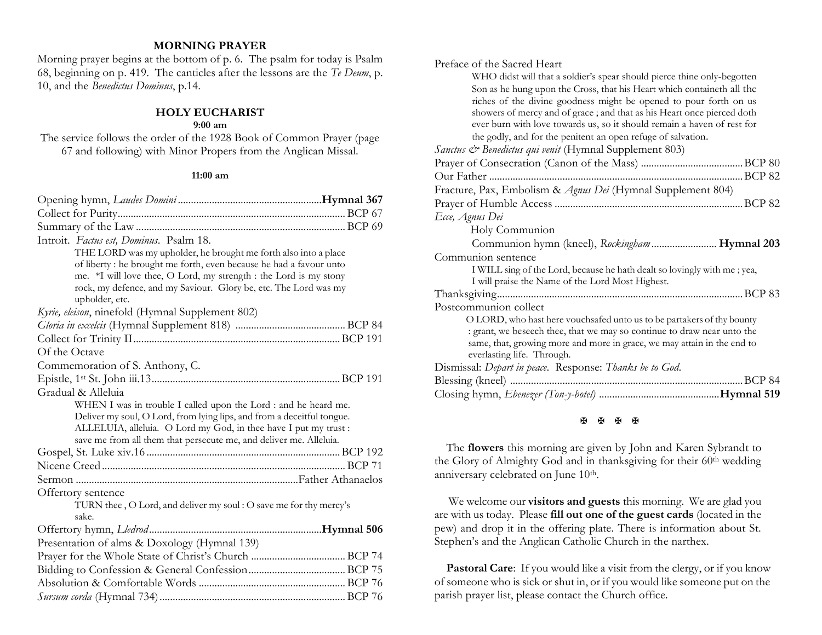### **MORNING PRAYER**

Morning prayer begins at the bottom of p. 6. The psalm for today is Psalm 68, beginning on p. 419. The canticles after the lessons are the *Te Deum*, p. 10, and the *Benedictus Dominus*, p.14.

# **HOLY EUCHARIST**

## **9:00 am**

The service follows the order of the 1928 Book of Common Prayer (page 67 and following) with Minor Propers from the Anglican Missal.

#### **11:00 am**

| Introit. Factus est, Dominus. Psalm 18.                                |  |
|------------------------------------------------------------------------|--|
| THE LORD was my upholder, he brought me forth also into a place        |  |
| of liberty : he brought me forth, even because he had a favour unto    |  |
| me. *I will love thee, O Lord, my strength : the Lord is my stony      |  |
| rock, my defence, and my Saviour. Glory be, etc. The Lord was my       |  |
| upholder, etc.                                                         |  |
| Kyrie, eleison, ninefold (Hymnal Supplement 802)                       |  |
|                                                                        |  |
|                                                                        |  |
| Of the Octave                                                          |  |
| Commemoration of S. Anthony, C.                                        |  |
|                                                                        |  |
| Gradual & Alleluia                                                     |  |
| WHEN I was in trouble I called upon the Lord : and he heard me.        |  |
| Deliver my soul, O Lord, from lying lips, and from a deceitful tongue. |  |
| ALLELUIA, alleluia. O Lord my God, in thee have I put my trust :       |  |
| save me from all them that persecute me, and deliver me. Alleluia.     |  |
|                                                                        |  |
|                                                                        |  |
|                                                                        |  |
| Offertory sentence                                                     |  |
| TURN thee, O Lord, and deliver my soul : O save me for thy mercy's     |  |
| sake.                                                                  |  |
|                                                                        |  |
| Presentation of alms & Doxology (Hymnal 139)                           |  |
|                                                                        |  |
|                                                                        |  |
|                                                                        |  |
|                                                                        |  |

| Preface of the Sacred Heart                                               |
|---------------------------------------------------------------------------|
| WHO didst will that a soldier's spear should pierce thine only-begotten   |
| Son as he hung upon the Cross, that his Heart which containeth all the    |
| riches of the divine goodness might be opened to pour forth on us         |
| showers of mercy and of grace; and that as his Heart once pierced doth    |
| ever burn with love towards us, so it should remain a haven of rest for   |
| the godly, and for the penitent an open refuge of salvation.              |
| Sanctus & Benedictus qui venit (Hymnal Supplement 803)                    |
|                                                                           |
|                                                                           |
| Fracture, Pax, Embolism & Agnus Dei (Hymnal Supplement 804)               |
|                                                                           |
| Ecce, Agnus Dei                                                           |
|                                                                           |
| Holy Communion                                                            |
| Communion hymn (kneel), Rockingham  Hymnal 203                            |
| Communion sentence                                                        |
| I WILL sing of the Lord, because he hath dealt so lovingly with me ; yea, |
| I will praise the Name of the Lord Most Highest.                          |
|                                                                           |
| Postcommunion collect                                                     |
| O LORD, who hast here vouchsafed unto us to be partakers of thy bounty    |
| : grant, we beseech thee, that we may so continue to draw near unto the   |
| same, that, growing more and more in grace, we may attain in the end to   |
| everlasting life. Through.                                                |
| Dismissal: Depart in peace. Response: Thanks be to God.                   |
| <b>BCP 84</b>                                                             |

#### **K K K K**

 The **flowers** this morning are given by John and Karen Sybrandt to the Glory of Almighty God and in thanksgiving for their 60<sup>th</sup> wedding anniversary celebrated on June 10th.

We welcome our **visitors and guests** this morning. We are glad you are with us today. Please **fill out one of the guest cards** (located in the pew) and drop it in the offering plate. There is information about St. Stephen's and the Anglican Catholic Church in the narthex.

Pastoral Care: If you would like a visit from the clergy, or if you know of someone who is sick or shut in, or if you would like someone put on the parish prayer list, please contact the Church office.